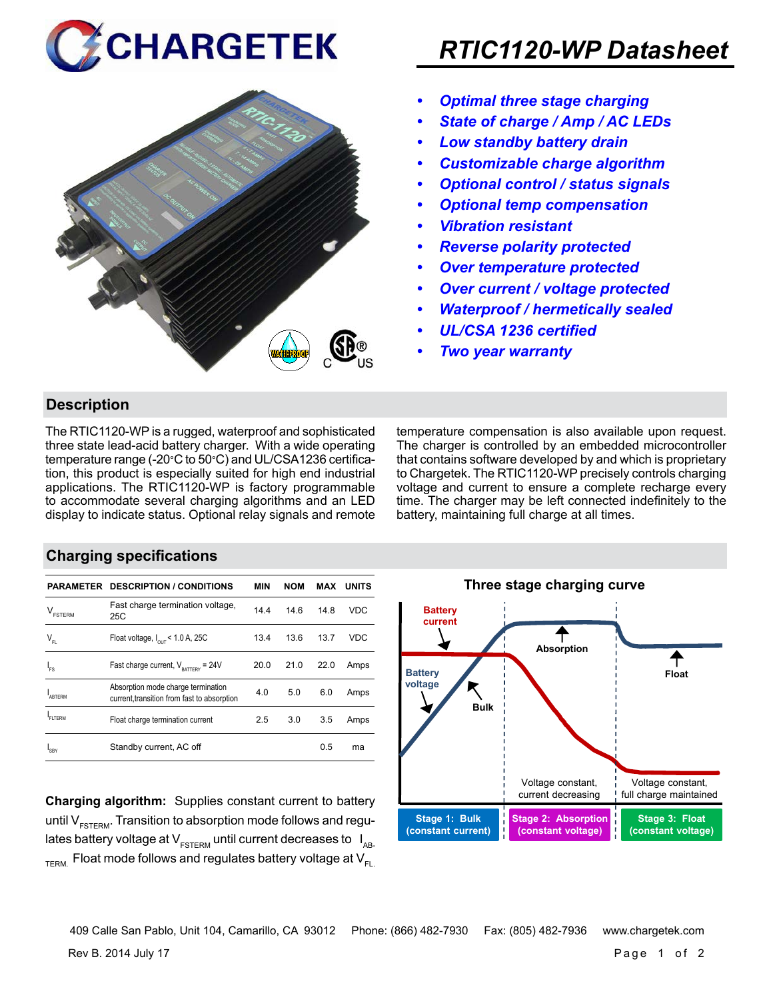



# *RTIC1120-WP Datasheet*

- *• Optimal three stage charging*
- *• State of charge / Amp / AC LEDs*
- *• Low standby battery drain*
- *• Customizable charge algorithm*
- *• Optional control / status signals*
- *• Optional temp compensation*
- *• Vibration resistant*
- *• Reverse polarity protected*
- *• Over temperature protected*
- *• Over current / voltage protected*
- *• Waterproof / hermetically sealed*
- *• UL/CSA 1236 certified*
- *• Two year warranty*

#### **Description**

The RTIC1120-WP is a rugged, waterproof and sophisticated three state lead-acid battery charger. With a wide operating temperature range (-20°C to 50°C) and UL/CSA1236 certification, this product is especially suited for high end industrial applications. The RTIC1120-WP is factory programmable to accommodate several charging algorithms and an LED display to indicate status. Optional relay signals and remote temperature compensation is also available upon request. The charger is controlled by an embedded microcontroller that contains software developed by and which is proprietary to Chargetek. The RTIC1120-WP precisely controls charging voltage and current to ensure a complete recharge every time. The charger may be left connected indefinitely to the battery, maintaining full charge at all times.

#### **Charging specifications**

|                                      | <b>PARAMETER DESCRIPTION / CONDITIONS</b>                                         | <b>MIN</b> | <b>NOM</b> | MAX  | <b>UNITS</b> |
|--------------------------------------|-----------------------------------------------------------------------------------|------------|------------|------|--------------|
| $\mathsf{V}_{\texttt{\tiny FSTERN}}$ | Fast charge termination voltage,<br>25C                                           | 14.4       | 14.6       | 14.8 | VDC          |
| $\mathsf{V}_{\mathsf{FL}}$           | Float voltage, $I_{\text{out}}$ < 1.0 A, 25C                                      | 13.4       | 13.6       | 13.7 | <b>VDC</b>   |
| ı.                                   | Fast charge current, $V_{\text{partrev}} = 24V$                                   | 20.0       | 21.0       | 22.0 | Amps         |
| ARTERM                               | Absorption mode charge termination<br>current, transition from fast to absorption | 4.0        | 5.0        | 6.0  | Amps         |
| FI TFRM                              | Float charge termination current                                                  | 2.5        | 3.0        | 3.5  | Amps         |
| <b>SRY</b>                           | Standby current, AC off                                                           |            |            | 0.5  | ma           |

**Charging algorithm:** Supplies constant current to battery until  $V_{ESTFRM}$ . Transition to absorption mode follows and regulates battery voltage at  $V_{ESTERM}$  until current decreases to  $I_{AR}$  $T_{\text{ERM}}$  Float mode follows and regulates battery voltage at  $V_{\text{F1}}$ 



Rev B. 2014 July 17 Page 1 of 2 409 Calle San Pablo, Unit 104, Camarillo, CA 93012 Phone: (866) 482-7930 Fax: (805) 482-7936 www.chargetek.com